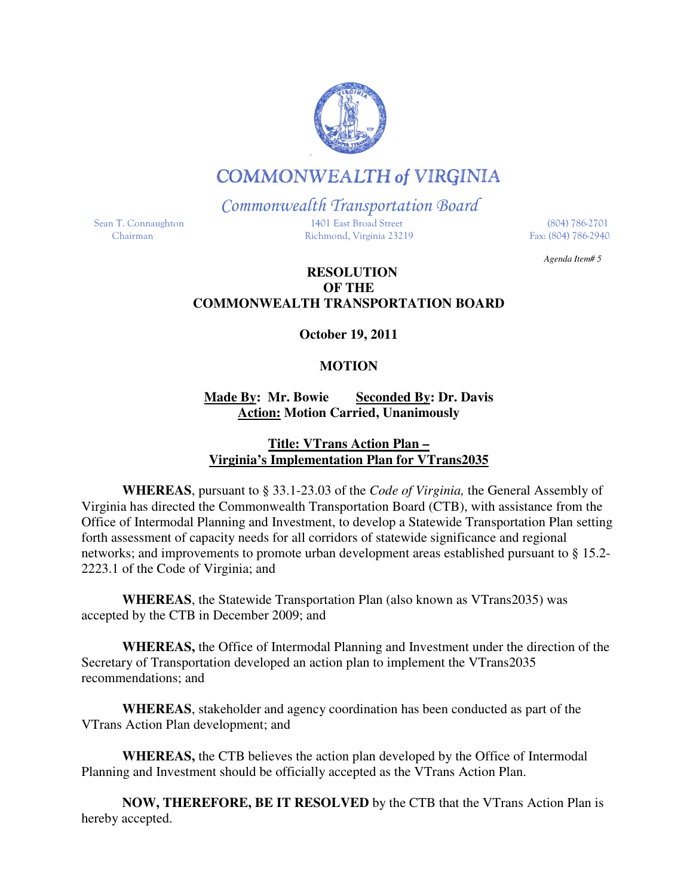## **COMMONWEALTH of VIRGINIA**

Commonwealth Transportation Board

 Sean T. Connaughton 1401 East Broad Street (804) 786-2701 Chairman Richmond, Virginia 23219 Fax: (804) 786-2940

*Agenda Item# 5* 

## **RESOLUTION OF THE COMMONWEALTH TRANSPORTATION BOARD**

**October 19, 2011** 

## **MOTION**

**Made By: Mr. Bowie Seconded By: Dr. Davis Action: Motion Carried, Unanimously** 

## **Title: VTrans Action Plan – Virginia's Implementation Plan for VTrans2035**

**WHEREAS**, pursuant to § 33.1-23.03 of the *Code of Virginia,* the General Assembly of Virginia has directed the Commonwealth Transportation Board (CTB), with assistance from the Office of Intermodal Planning and Investment, to develop a Statewide Transportation Plan setting forth assessment of capacity needs for all corridors of statewide significance and regional networks; and improvements to promote urban development areas established pursuant to § 15.2- 2223.1 of the Code of Virginia; and

**WHEREAS**, the Statewide Transportation Plan (also known as VTrans2035) was accepted by the CTB in December 2009; and

**WHEREAS,** the Office of Intermodal Planning and Investment under the direction of the Secretary of Transportation developed an action plan to implement the VTrans2035 recommendations; and

**WHEREAS**, stakeholder and agency coordination has been conducted as part of the VTrans Action Plan development; and

**WHEREAS,** the CTB believes the action plan developed by the Office of Intermodal Planning and Investment should be officially accepted as the VTrans Action Plan.

**NOW, THEREFORE, BE IT RESOLVED** by the CTB that the VTrans Action Plan is hereby accepted.